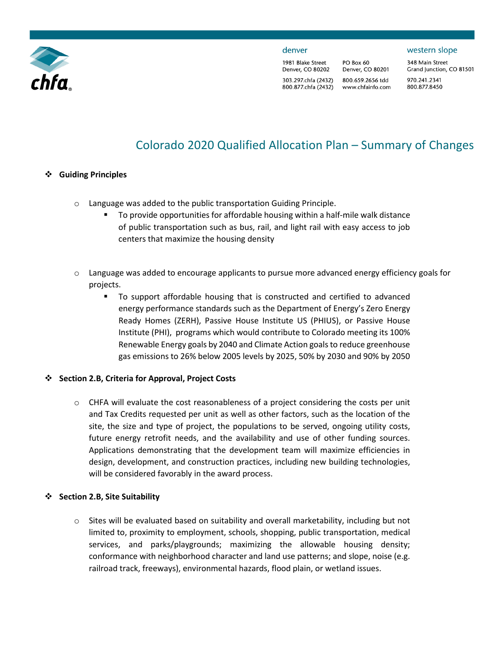

#### denver

1981 Blake Street Denver, CO 80202 303.297.chfa (2432) 800.877.chfa (2432)

PO Box 60 Denver, CO 80201 800.659.2656 tdd www.chfainfo.com 348 Main Street Grand Junction, CO 81501 970.241.2341 800.877.8450

western slope

# Colorado 2020 Qualified Allocation Plan – Summary of Changes

#### **Guiding Principles**

- o Language was added to the public transportation Guiding Principle.
	- **To provide opportunities for affordable housing within a half-mile walk distance** of public transportation such as bus, rail, and light rail with easy access to job centers that maximize the housing density
- $\circ$  Language was added to encourage applicants to pursue more advanced energy efficiency goals for projects.
	- To support affordable housing that is constructed and certified to advanced energy performance standards such as the Department of Energy's Zero Energy Ready Homes (ZERH), Passive House Institute US (PHIUS), or Passive House Institute (PHI), programs which would contribute to Colorado meeting its 100% Renewable Energy goals by 2040 and Climate Action goals to reduce greenhouse gas emissions to 26% below 2005 levels by 2025, 50% by 2030 and 90% by 2050

# **Section 2.B, Criteria for Approval, Project Costs**

 $\circ$  CHFA will evaluate the cost reasonableness of a project considering the costs per unit and Tax Credits requested per unit as well as other factors, such as the location of the site, the size and type of project, the populations to be served, ongoing utility costs, future energy retrofit needs, and the availability and use of other funding sources. Applications demonstrating that the development team will maximize efficiencies in design, development, and construction practices, including new building technologies, will be considered favorably in the award process.

#### **Section 2.B, Site Suitability**

 $\circ$  Sites will be evaluated based on suitability and overall marketability, including but not limited to, proximity to employment, schools, shopping, public transportation, medical services, and parks/playgrounds; maximizing the allowable housing density; conformance with neighborhood character and land use patterns; and slope, noise (e.g. railroad track, freeways), environmental hazards, flood plain, or wetland issues.